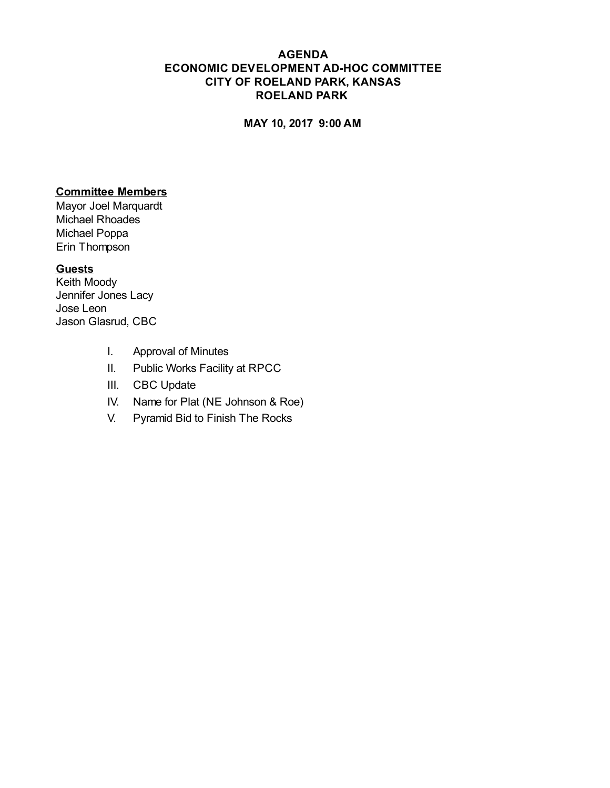#### **AGENDA ECONOMIC DEVELOPMENT AD-HOC COMMITTEE CITY OF ROELAND PARK, KANSAS ROELAND PARK**

#### **MAY 10, 2017 9:00 AM**

#### **Committee Members**

Mayor Joel Marquardt Michael Rhoades Michael Poppa Erin Thompson

#### **Guests**

Keith Moody Jennifer Jones Lacy Jose Leon Jason Glasrud, CBC

- I. Approval of Minutes
- II. Public Works Facility at RPCC
- III. CBC Update
- IV. Name for Plat (NE Johnson & Roe)
- V. Pyramid Bid to Finish The Rocks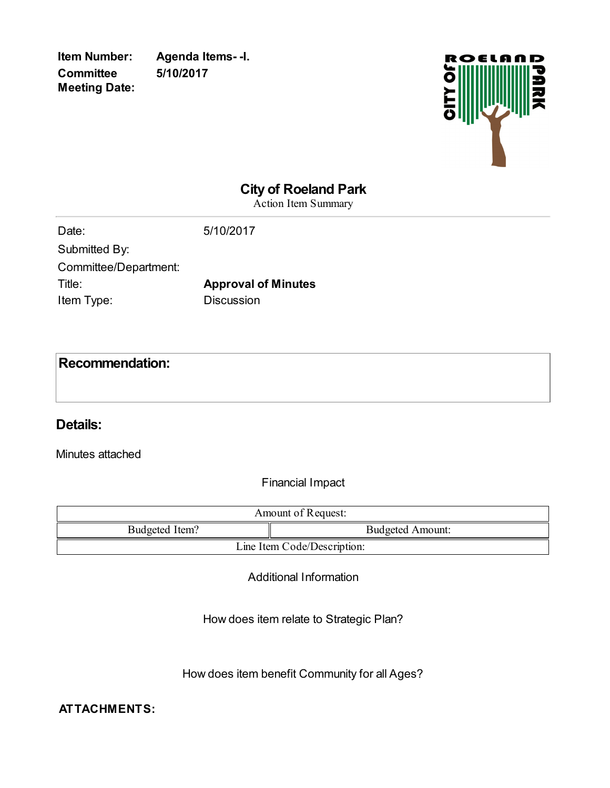**Item Number: Agenda Items- -I. 5/10/2017**



## **City of Roeland Park**

Action Item Summary

| 5/10/2017                  |
|----------------------------|
|                            |
|                            |
| <b>Approval of Minutes</b> |
| <b>Discussion</b>          |
|                            |

## **Recommendation:**

#### **Details:**

Minutes attached

Financial Impact

| Amount of Request:          |                         |  |
|-----------------------------|-------------------------|--|
| Budgeted Item?              | <b>Budgeted Amount:</b> |  |
| Line Item Code/Description: |                         |  |

Additional Information

How does item relate to Strategic Plan?

How does item benefit Community for all Ages?

#### **ATTACHMENTS:**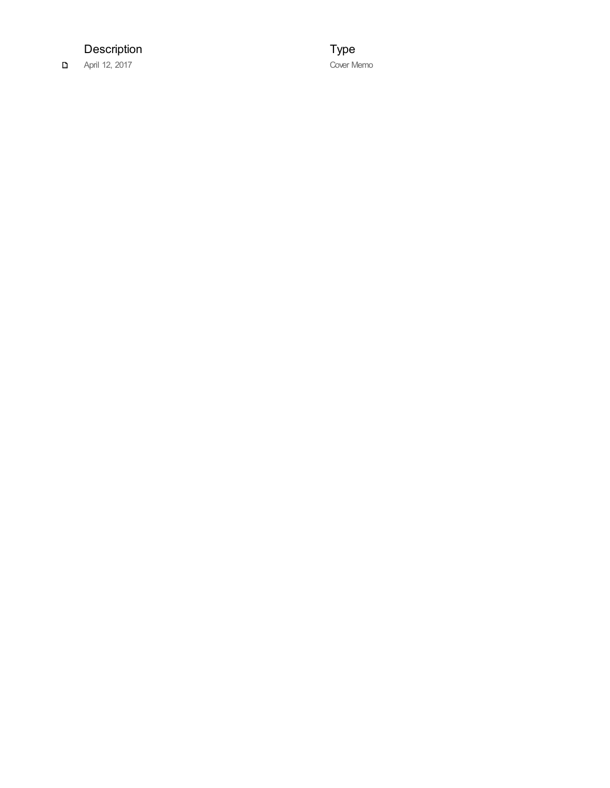Description

April 12, 2017

T y p e Cover Memo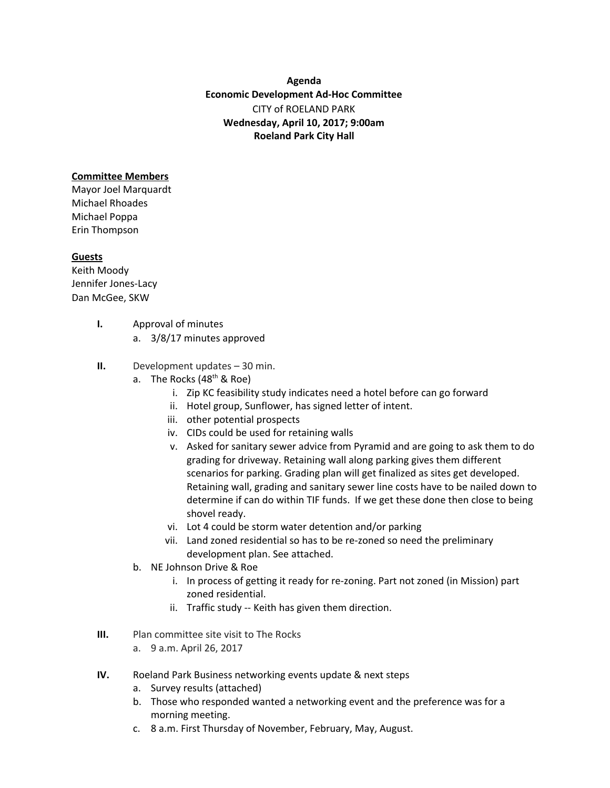**Agenda Economic Development Ad-Hoc Committee** CITY of ROELAND PARK **Wednesday, April 10, 2017; 9:00am Roeland Park City Hall**

#### **Committee Members**

Mayor Joel Marquardt Michael Rhoades Michael Poppa Erin Thompson

#### **Guests**

Keith Moody Jennifer Jones-Lacy Dan McGee, SKW

- **I.** Approval of minutes
	- a. 3/8/17 minutes approved
- **II.** Development updates 30 min.
	- a. The Rocks (48<sup>th</sup> & Roe)
		- i. Zip KC feasibility study indicates need a hotel before can go forward
		- ii. Hotel group, Sunflower, has signed letter of intent.
		- iii. other potential prospects
		- iv. CIDs could be used for retaining walls
		- v. Asked for sanitary sewer advice from Pyramid and are going to ask them to do grading for driveway. Retaining wall along parking gives them different scenarios for parking. Grading plan will get finalized as sites get developed. Retaining wall, grading and sanitary sewer line costs have to be nailed down to determine if can do within TIF funds. If we get these done then close to being shovel ready.
		- vi. Lot 4 could be storm water detention and/or parking
		- vii. Land zoned residential so has to be re-zoned so need the preliminary development plan. See attached.
	- b. NE Johnson Drive & Roe
		- i. In process of getting it ready for re-zoning. Part not zoned (in Mission) part zoned residential.
		- ii. Traffic study -- Keith has given them direction.
- **III.** Plan committee site visit to The Rocks
	- a. 9 a.m. April 26, 2017
- **IV.** Roeland Park Business networking events update & next steps
	- a. Survey results (attached)
	- b. Those who responded wanted a networking event and the preference was for a morning meeting.
	- c. 8 a.m. First Thursday of November, February, May, August.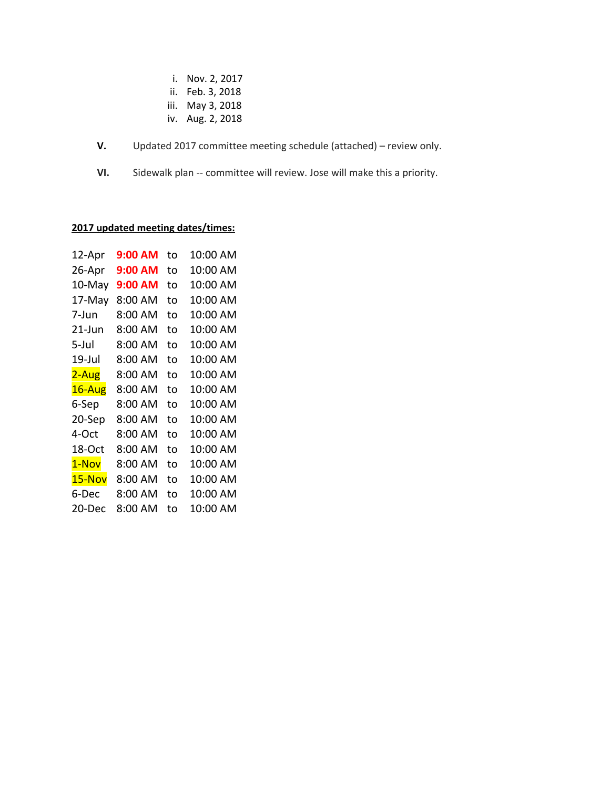- i. Nov. 2, 2017
- ii. Feb. 3, 2018
- iii. May 3, 2018
- iv. Aug. 2, 2018
- **V.** Updated 2017 committee meeting schedule (attached) review only.
- **VI.** Sidewalk plan -- committee will review. Jose will make this a priority.

#### **2017 updated meeting dates/times:**

| 12-Apr | 9:00 AM | to | 10:00 AM |
|--------|---------|----|----------|
| 26-Apr | 9:00 AM | t٥ | 10:00 AM |
| 10-May | 9:00 AM | to | 10:00 AM |
| 17-May | 8:00 AM | to | 10:00 AM |
| 7-Jun  | 8:00 AM | to | 10:00 AM |
| 21-Jun | 8:00 AM | to | 10:00 AM |
| 5-Jul  | 8:00 AM | to | 10:00 AM |
| 19-Jul | 8:00 AM | to | 10:00 AM |
| 2-Aug  | 8:00 AM | to | 10:00 AM |
| 16-Aug | 8:00 AM | to | 10:00 AM |
| 6-Sep  | 8:00 AM | to | 10:00 AM |
| 20-Sep | 8:00 AM | to | 10:00 AM |
| 4-Oct  | 8:00 AM | to | 10:00 AM |
| 18-Oct | 8:00 AM | to | 10:00 AM |
| 1-Nov  | 8:00 AM | to | 10:00 AM |
| 15-Nov | 8:00 AM | to | 10:00 AM |
| 6-Dec  | 8:00 AM | to | 10:00 AM |
| 20-Dec | 8:00 AM | to | 10:00 AM |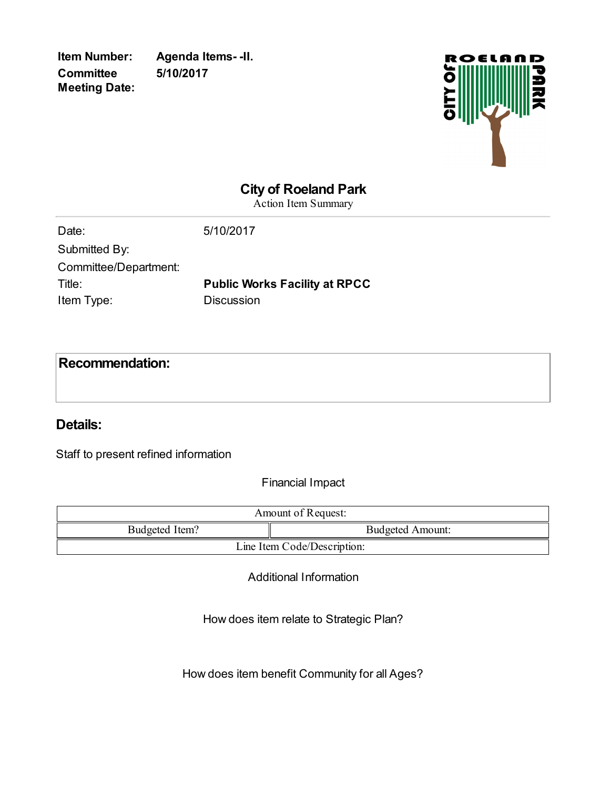**Item Number: Agenda Items- -II. 5/10/2017**



# **City of Roeland Park**

Action Item Summary

| Date:                 | 5/10/2017                            |
|-----------------------|--------------------------------------|
| Submitted By:         |                                      |
| Committee/Department: |                                      |
| Title:                | <b>Public Works Facility at RPCC</b> |
| Item Type:            | <b>Discussion</b>                    |
|                       |                                      |

## **Recommendation:**

# **Details:**

Staff to present refined information

Financial Impact

| Amount of Request:          |                         |  |
|-----------------------------|-------------------------|--|
| Budgeted Item?              | <b>Budgeted Amount:</b> |  |
| Line Item Code/Description: |                         |  |

Additional Information

How does item relate to Strategic Plan?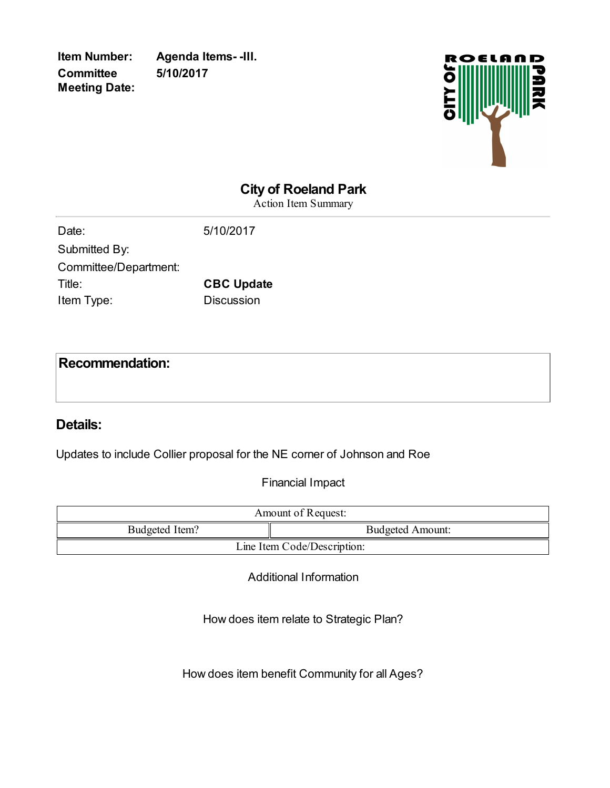**Item Number: Agenda Items- -III. 5/10/2017**



# **City of Roeland Park**

Action Item Summary

| Date:                 | 5/10/2017         |
|-----------------------|-------------------|
| Submitted By:         |                   |
| Committee/Department: |                   |
| Title:                | <b>CBC Update</b> |
| Item Type:            | <b>Discussion</b> |

### **Recommendation:**

### **Details:**

Updates to include Collier proposal for the NE corner of Johnson and Roe

Financial Impact

| Amount of Request:          |                         |  |
|-----------------------------|-------------------------|--|
| Budgeted Item?              | <b>Budgeted Amount:</b> |  |
| Line Item Code/Description: |                         |  |

Additional Information

How does item relate to Strategic Plan?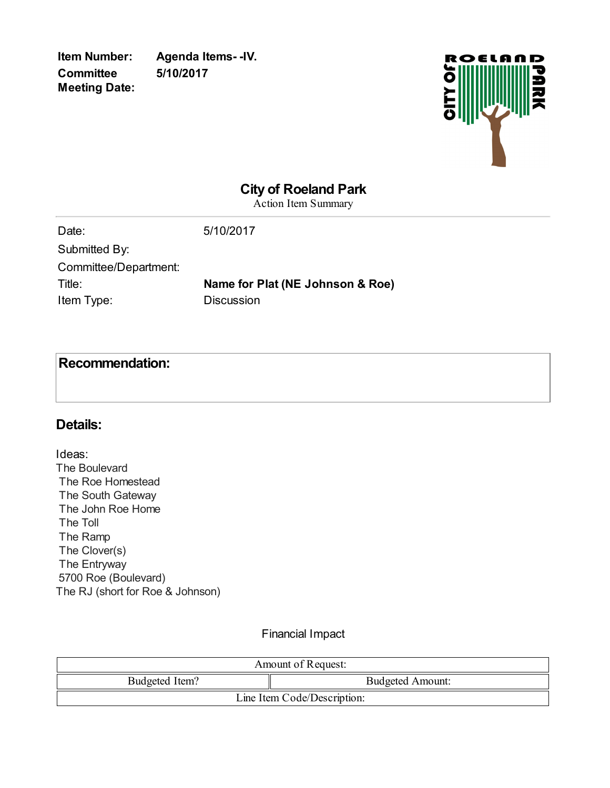**Item Number: Agenda Items- -IV. 5/10/2017**



### **City of Roeland Park**

Action Item Summary

| Date:                 | 5/10/2017                        |
|-----------------------|----------------------------------|
| Submitted By:         |                                  |
| Committee/Department: |                                  |
| Title:                | Name for Plat (NE Johnson & Roe) |
| Item Type:            | <b>Discussion</b>                |
|                       |                                  |

# **Recommendation:**

#### **Details:**

Ideas: The Boulevard The Roe Homestead The South Gateway The John Roe Home The Toll The Ramp The Clover(s) The Entryway 5700 Roe (Boulevard) The RJ (short for Roe & Johnson)

#### Financial Impact

| Amount of Request:          |                         |  |
|-----------------------------|-------------------------|--|
| Budgeted Item?              | <b>Budgeted Amount:</b> |  |
| Line Item Code/Description: |                         |  |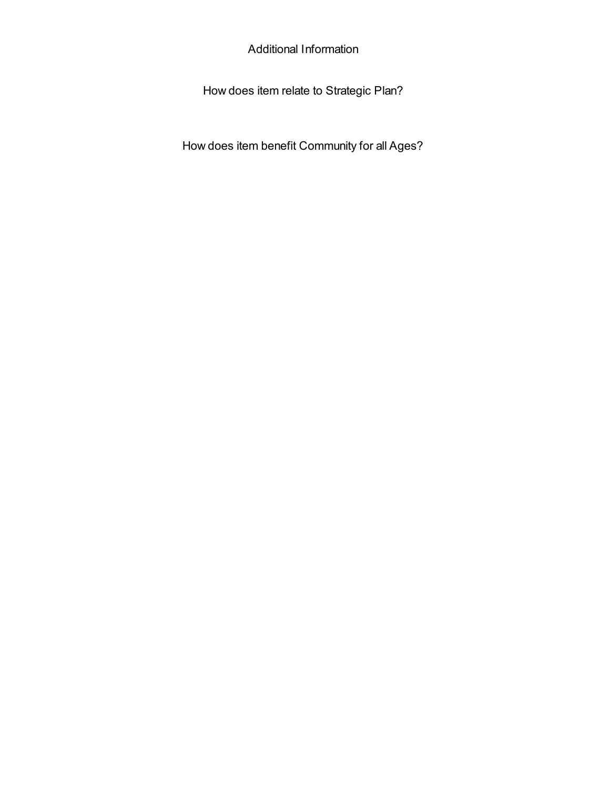Additional Information

How does item relate to Strategic Plan?